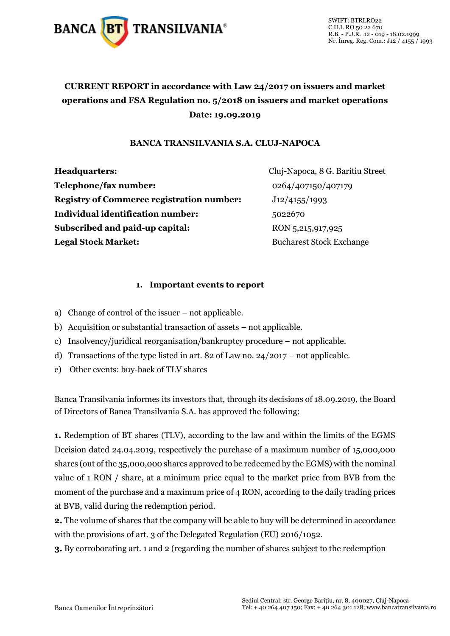

### **CURRENT REPORT in accordance with Law 24/2017 on issuers and market operations and FSA Regulation no. 5/2018 on issuers and market operations Date: 19.09.2019**

#### **BANCA TRANSILVANIA S.A. CLUJ-NAPOCA**

**Headquarters:** Cluj-Napoca, 8 G. Baritiu Street **Telephone/fax number:** 0264/407150/407179 **Registry of Commerce registration number:** J12/4155/1993 **Individual identification number:** 5022670 **Subscribed and paid-up capital:** RON 5,215,917,925 **Legal Stock Market:** Bucharest Stock Exchange

#### **1. Important events to report**

- a) Change of control of the issuer not applicable.
- b) Acquisition or substantial transaction of assets not applicable.
- c) Insolvency/juridical reorganisation/bankruptcy procedure not applicable.
- d) Transactions of the type listed in art. 82 of Law no. 24/2017 not applicable.
- e) Other events: buy-back of TLV shares

Banca Transilvania informes its investors that, through its decisions of 18.09.2019, the Board of Directors of Banca Transilvania S.A. has approved the following:

**1.** Redemption of BT shares (TLV), according to the law and within the limits of the EGMS Decision dated 24.04.2019, respectively the purchase of a maximum number of 15,000,000 shares (out of the 35,000,000 shares approved to be redeemed by the EGMS) with the nominal value of 1 RON / share, at a minimum price equal to the market price from BVB from the moment of the purchase and a maximum price of 4 RON, according to the daily trading prices at BVB, valid during the redemption period.

**2.** The volume of shares that the company will be able to buy will be determined in accordance with the provisions of art. 3 of the Delegated Regulation (EU) 2016/1052.

**3.** By corroborating art. 1 and 2 (regarding the number of shares subject to the redemption